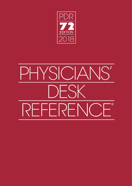

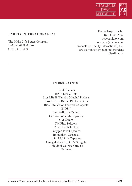

# **UNICITY INTERNATIONAL, INC.**

The Make Life Better Company 1202 North 800 East Orem, UT 84097

# **Direct Inquiries to:**

(801) 226-2600 www.unicity.com science@unicity.com Products of Unicity International, Inc. are distributed through independent distributors.

# **Products Described:**

Bio-C Tablets BIOS Life C Plus Bios Life E (Unicity Matcha) Packets Bios Life ProBionic PLUS Packets Bios Life Vision Essentials Capsule BIOS 7 Cardio-Basics Tablets Cardio-Essentials Capsules CM Cream CM Plex Softgels. Core Health Tablets Enzygen Plus Capsules. Immunizen Capsules Joint Mobility Capsules OmegaLife-3 RESOLV Softgels Ubiquinol-CoQ10 Softgels Unimate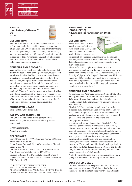

#### BIO-C™ High Potency Vitamin C1 **DS** [bǐō sē ]



# **DESCRIPTION**

Bio-C™ is a vitamin C nutritional supplement. Bio-C™ is a yellow, water-soluble, crystalline powder pressed into a tablet. Each Bio-C™ tablet consists of a proprietary blend of ascorbyl palmitate, calcium ascorbate, ascorbic acid, magnesium ascorbate, and 37.5 mg of citrus bioflavonoids. In addition to the active ingredients, each tablet contains cellulose, stearic acid, silicon dioxide, croscarmellose sodium, and magnesium stearate.

# BENEFITS AND RESEARCH

Vitamin C (ascorbic acid) is a water-soluble vitamin that is used in the body to form cartilage, collagen, muscles, and blood vessels. Vitamin C is a potent antioxidant that can protect small molecules such as proteins, carbohydrates, nucleic acids, and lipids from damage caused by free radicals that are generated through the course of normal metabolism or through exposure to external toxins and pollutants (e.g. ultraviolet radiation from the sun or smoking). Vitamin C can also regenerate other antioxidants like vitamin E. Additionally, vitamin C is required for the synthesis of carnitine, a molecule involved in the transport of fats across the mitochondrial membrane, as well as the synthesis of norepinephrine, a neurotransmitter.<sup>1</sup>

#### SUGGESTED USAGE

Take one tablet, two times daily.

#### SAFETY AND WARNINGS

Bio-C™ is well tolerated. Some gastrointestinal discomfort may be experienced as with any dietary supplement.

#### HOW SUPPLIED

Available in tablets.

#### REFERENCES

Carr, AC and Frei B. (1999), American Journal of Clinical Nutrition 96(6):1086-1107. Jacob, RA and Sotoudeh G. (2002), Nutrition in Clinical Care 5(2):66-74. Deruelle F, Baron B. (2008), Journal of Alternative and Complementary Medicine 14(10):1291-1298. Levine M, Rumsey SC, Daruwala R, Park JB, Wang Y. (1999), The Journal of the American Medical Association 281(15):1415-1423.

<sup>1</sup> THESE STATEMENTS HAVE NOT BEEN EVALUATED BY THE FOOD AND DRUG ADMINISTRATION. THIS PRODUCT IS NOT INTENDED TO DIAGNOSE, TREAT, CURE, OR PREVENT ANY DISEASE.

#### BIOS LIFE® C PLUS (BIOS LIFE® C) Advanced Fiber and Nutrient Drink1 **DS**

#### **DESCRIPTION**

Bios Life® C Plus is a fiber based, vitamin rich dietary supplement. Bios Life® C Plus contains a blend of soluble and insoluble fibers, phytosterols,



policosanol, an extract of Chrysanthemum morifolium, vitamins, and minerals that when combined with a healthy diet and exercise may lower total serum cholesterol and triglyceride levels.

Bios Life® C Plus is light orange in color. It is a hygroscopic crystalline powder that is generally soluble in water. Each serving of Bios Life® C Plus contains 3.7g of fiber, 1g of phytosterols, 6mg of policosanol, and 12.5mg of an extract of Chrysanthemum morifolium. In addition to these active ingredients, each serving of Bios Life® C Plus contains maltodextrin, citric acid, orange juice powder, sucralose, and orange flavor.<sup>1</sup>

# BENEFITS AND RESEARCH

It's estimated that Americans consume 10-12g of total fiber per day, less than half the amount of the recommended daily intake. Epidemiological and clinical studies have correlated high daily fiber intake with an improvement in overall health.

Bios Life® C Plus is a dietary supplement designed to increased daily fiber intake. Each serving of Bios Life® C Plus contains 3.7g of dietary fiber. Fiber supplementation has been shown to decrease pre-prandial and postprandial glucose levels and lower LDL cholesterol and apolipoprotein B levels.

In addition to fiber supplementation, Bios Life® C Plus contains a patented blend of phytosterols, policosanol, Chrysanthemum morifolium, vitamins, and minerals. This blend of ingredients optimizes cholesterol levels through a combination of four mechanisms. First, the soluble fiber matrix prevents cholesterol reabsorption in the gastrointestinal tract through bile-acid sequestration. Second, the phytosterols reduce dietary absorption of cholesterol. Third, policosanol inhibits hepatic synthesis of cholesterol mediated through HMG-CoA reductase. Fourth, Chrysanthemum morifolium provides phytonutrients that enhance conversion of cholesterol to 7-α-hydryoxycholesterol. The four mechanisms provide a

synergistic approach to optimizing cholesterol levels.<sup>1</sup>

#### SUGGESTED USAGE

Dissolve the contents of one packet into 8 to 10fl. oz. of water and mix vigorously. Drink immediately. For best results, use 10-15 minutes before your two largest meals.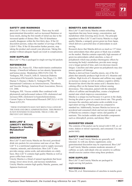

# SAFETY AND WARNINGS

Bios Life® C Plus is well tolerated. There may be mild gastrointestinal discomfort, such as increased flatulence or loose stools, during the first month of initial use due to the increased uptake of dietary fiber. This GI disturbance usually disappears within the first thirty days. If the GI discomfort persists, reduce the number of servings of Bios Life® C Plus. If the GI discomfort further persists, stop taking the product and consult your physician. Taking this product without adequate liquid can result in complications.

#### HOW SUPPLIED

Bios Life® C Plus is packaged in single-serving foil packets

#### REFERENCES

Sprecher, DL, Pearce GL. Fiber-multivitamin combination therapy: A beneficial influence on low-density lipoprotein and homocysteine. Metabolism 2002;51(9):1166–70. Verdegem, PJE, Freed S, Joffe D. American Diabetes Association 65th Scientific Sessions, San Diego, CA. 2005. Duenas V, Duenas J, Burke E, Verdegem PJE. 7th International Conference on Arteriosclerosis, Thrombosis, and Vascular Biology, American Heart Association, Denver, CO. 2006.

Verdegem, PJE. Viscous soluble fiber combined with phytosterols and policosanol reduces LDL-cholesterol and increases HDL-cholesterol in hypercholesterolemia. Current Topics in Nutraceutical Research 2007;5(1):1-6 US Patent 6,933,291.

<sup>1</sup> THESE STATEMENTS HAVE NOT BEEN EVALUATED BY THE FOOD AND DRUG ADMINISTRATION. THIS PRODUCT IS NOT INTENDED TO DIAGNOSE, TREAT, CURE, OR PREVENT ANY DISEASE.

#### BIOS LIFE® E (UNICITY MATCHA) Supports a Healthy Metabolism<sup>1</sup> DS



# **DESCRIPTION**

Bios Life® E and Unicity Matcha are flavored, powdered drink mix packets for convenience and ease of use. Bios Life<sup>®</sup> E is a nutritional supplement used to supply necessary vitamins, minerals, and electrolytes. Bios Life® E also provides energy, amino acids, and antioxidants on a daily basis. Bios Life® E contains high quality Matcha as well as green coffee bean extract.

Unicity Matcha is a blend of natural ingredients that boost energy, lower stress levels, and increase metabolism. Unicity Matcha contains high quality Matcha, guarana, and Japanese knotweed.

# BENEFITS AND RESEARCH

Bios Life® E and Unicity Matcha contain refreshing ingredients that may boost energy, concentration, and metabolism while lowering stress levels. The principle ingredient in Bios Life® E and Unicity Matcha is a high quality Matcha, a uniquely grown green tea from Japan, which delivers a powerful dose of antioxidants in each serving.

Research shows that Matcha delivers as much as 137 times more antioxidants than other green or black teas available on the market. Matcha contains especially high amounts of green tea antioxidants called catechins, a class of polyphenols which may produce thermogenic effects by increasing the body's metabolism, provide more energy over a longer period of time, and even decrease muscle fatigue. Catechins and other green tea polyphenols may also protect against cell damage.

Matcha is derived from Camellia sinesis, one of the few plants that naturally produces high levels of L-theanine and caffeine. High levels of L-theanine and caffeine may supply an increase in energy as well as enhance cognitive ability. Research has shown that the amino acid L-theanine has a calming effect on the human brain without causing drowsiness. This relaxation, paired with the stimulant effects of caffeine and theophylline, creates a heightened mental state which improves concentration.

Matcha is a unique tea leaf because it is grown in the shade, forcing the plant to grow at a much slower rate. This greatly increases the catechins and amino acids available in an equivalent serving of Matcha green tea compared to standard tea. Additionally, because Matcha tea leaves are powdered and consumed whole and not just steeped, a cup of Matcha tea contains a larger variety and quantity of nutrients. This includes soluble and insoluble components such as chlorophyll, protein, and dietary fiber.<sup>1</sup>

# SUGGESTED USAGE

The contents of the packet can be mixed with 8-10fl. oz. of water, shaken or stirred vigorously, and consumed. Use one packet daily.

#### SAFETY AND WARNINGS

Bios Life® E and Unicity Matcha are generally well tolerated. As with any dietary supplement, some gastrointestinal discomfort may be experienced. Bios Life® E and Unicity Matcha contains moderate amounts of caffeine; as such, individuals who are sensitive to caffeine should exercise caution when using these products.

#### HOW SUPPLIED

Bios Life® E and Unicity Matcha are packaged in single-serving foil packets.

#### REFERENCES

Weiss DJ, et al. Determination of catechins in matcha green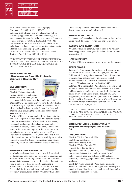

tea by micellar electrokinetic chromatography. J Chromatogr A. 2003;1011(1-2):173-80. Dulloo A. et al. Efficacy of a green tea extract rich in catechins polyphenols and caffeine in increasing 24-h energy expenditure and fat oxidation in humans. American Journal of Clinical Nutrition. 1999;70(6):1040-1045. Gomez-Ramirez M, et al. The effects of L-theanine on alpha-band oscillatory brain activity during a visuo-spatial attention task. Brain Topogr 2009;22(1):44-51. Cabrera C, et al. Beneficial Effects of Green Tea—A Review. J Am Coll Nutr 2006;25(2):79-99.

1 THESE STATEMENTS HAVE NOT BEEN EVALUATED BY THE FOOD AND DRUG ADMINISTRATION. THIS PRODUCT IS NOT INTENDED TO DIAGNOSE, TREAT, CURE, OR PREVENT ANY DISEASE.

#### PROBIONIC® PLUS (Also known as Bios Life Probionic) Maintain a Healthy Gut<sup>1</sup> DS **PROBIONIC**

# DESCRIPTION

ProBionic® Plus (Also known as Bios Life Probionic) contain various strands of live, healthy bacteria that enter the digestive



ProBionic® Plus is a water-soluble, light-pink crystalline powder. Each packet of ProBionic® Plus contains 86mg of 11 strains probiotic blend of Lactobacillus rhamnosus, Lactobacillus plantarum, Lactobacillus acidophilus, Lactobacillus gasseri, Lactobacillus casei, Lactobacillus lactis, Bifidobacterium longum, Bifidobacterium lactis, Bifidobacterium breve, Bifidobacterium HN019 and Lactobacillus acidophilus LA14, with a total of 5 billion cells. In addition to these live bacteria, each 2g packet also contains xylitol, strawberry concentrate powder, natural strawberry flavor, calcium phosphate tribasic, and citric  $acid<sup>1</sup>$ 

# BENEFITS AND RESEARCH

Your body needs good bacteria to help with detoxification, food digestion, waste removal, production of vitamins, and protection from harmful organisms. When the intestinal bacteria is imbalanced and unhealthy bacteria dominate, the body is less able to fight off infection resulting in inflammation. The individual strains used in ProBionic® Plus are helpful for maintaining overall gut health. The proprietary encapsulation used in ProBionic® Plus allows

allows healthy strains of bacteria to be delivered to the digestive system alive and undisturbed.<sup>1</sup>

# SUGGESTED USAGE

The contents of the packet can be taken dry, or they can be mixed with 8-10 fl. oz. of water. Use one packet daily.

# SAFETY AND WARNINGS

ProBionic® Plus are generally well tolerated. As with any dietary supplement, some gastrointestinal discomfort may be experienced.

# HOW SUPPLIED

ProBionic® Plus are packaged in single-serving foil packets

# REFERENCES

Saggioro A. Probiotics in the treatment of Irritable Bowel Syndrome. J Clin Gastroenterol. 2004;38(8):S104-106. Del Piano M, Carmagnola S, Andorno S, et al. Evaluation of the intestinal colonization by microencapsulated probiotic bacteria in comparison to the same uncoated strains. J Clin Gastroenterol. 2010;44:S42-S46. Del Piano M, Carmagnola S, Anderloni A, et al. The use of probiotics in healthy volunteers with evacuation disorders and hard stools: A double blind, randomized, placebo-controlled study. J Clin Gastroenterol. 2010;44:S30-S34. Pregliasco F, Anselmi G, Fonte L, Giussani F, Schieppati S, Soletti L. A New Chance of Preventing Winter Diseases by the Administration of Symbiotic Formulations. J Clin Gastroenterol. 2008;42(2):224-233.

<sup>1</sup> THESE STATEMENTS HAVE NOT BEEN EVALUATED BY THE FOOD AND DRUG ADMINISTRATION. THIS PRODUCT IS NOT INTENDED TO DIAGNOSE, TREAT, CURE, OR PREVENT ANY DISEASE.

# BIOS LIFE® VISION ESSENTIALS™ Supports Healthy Eyes and Vision<sup>1</sup> **DS**

# DESCRIPTION

Bios Life® Vision Essentials™ is a nutritional supplement for maintaining healthy eyes. Bios Life® Vision Essentials™ contains the following active ingredients: vitamin C, vitamin E,



zinc, natural beta carotene, lutein, zeaxanthin, and anthocyanidins from wild bilberry, wild blueberry, strawberry, cranberry, grape seed extract, elderberry, and raspberry.

Bios Life® Vision Essentials™ is a purple crystalline powder. In addition to the active ingredients, each capsule contains silicon dioxide, microcrystalline cellulose, and is packaged in vegetarian capsules.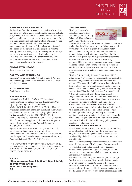

# BENEFITS AND RESEARCH

Antioxidants from the carotenoid chemical family, such as beta carotene, lutein, and zeaxanthin, play an important role in eye health. Clinical studies have demonstrated that lutein and zeaxanthin are concentrated to the retina and lens of the eye. Supplementation with high levels of lutein can restore the lutein concentration in the retina. Further supplementation of vitamins C, E, and A (in the form of beta-carotene) along with zinc and copper aid with the healthy function of the eyes. Additional support for the eyes comes from a proprietary berry blend included in Bios Life® Vision Essentials™. This proprietary berry blend contains anthocyanidins, antioxidant compounds that support the vasculature within the eye.<sup>1</sup>

#### SUGGESTED USAGE

Take two capsules per day.

#### SAFETY AND WARNINGS

Bios Life® Vision Essentials™ is well tolerated. As with any dietary supplement, some gastrointestinal discomfort may be experienced.

#### HOW SUPPLIED

Available in capsules.

#### REFERENCES

Krishnadev N, Meleth AD, Chew EY. Nutritional supplements for age-related macular degeneration. Curr Opin Opthamology 2010;21(3):184-189. Ma L, Lin XM, Zou ZY, Xu XR, Li Y, Xu R. A 12-week

lutein supplementation improves visual function in Chinese people with long-term computer display light exposure. British Journal of Nutrition. 2009;102(2):186-190. Yagi A, Fujimoto K, Michihiro K, Goh B, Tsi D, Nagai H, The effect of lutein supplementation on visual fatigue: A psychophysiological analysis. Applied Ergonomics 2009;40(6):1047-1054.

Age Related Eye Disease Study Group. A randomized, placebo-controlled, clinical trial of high-dose supplementation with vitamins C and E, beta carotene, and zinc for age-related macular degeneration and vision loss. Arch Ophthalmol. 2001;119(10):1417-1436.

1 THESE STATEMENTS HAVE NOT BEEN EVALUATED BY THE FOOD AND DRUG ADMINISTRATION. THIS PRODUCT IS NOT INTENDED TO DIAGNOSE, TREAT, CURE, OR PREVENT ANY DISEASE.

#### BIOS 7

(Also known as Bios Life Slim®, Bios Life® S, or Unicity Balance) **Maintain a Healthy Gut1 DS** 

#### **DESCRIPTION**

Bios 7 product family consists of Bios 7, Bios Life® Slim, Slim G, Unicity Balance G, Unicity Balance C, Bios Life® S. Bios 7 is a



fiber-based, vitamin rich nutritional supplement. The Bios 7 product family is light orange in color. It is a hygroscopic crystalline powder that is generally soluble in water. Bios 7 contains healthy fibers and vitamin/mineral rich ingredients that provides the same benefits as the Slim G and Balance G products plus ingredients that support the human microbiome. It also contains a proprietary polyphenol blend including yeast, apple, pomegranate and red grape extracts. Each serving contains 4g of fiber. In addition each serving contains maltodextrin, citric acid, orange juice powder, sweeteners, xanthan gum, and orange flavor.

Bios Life® Slim, Unicity Balance C, and Bios Life® S utilize Unicity® 7× technology, phytosterols, policosanol, an extract of Chrysanthemum morifolium, vitamins, and minerals. When combined with a healthy diet and exercise these products may lower total serum cholesterol and help achieve and maintain a healthy body weight. Each serving contains 4g of fiber, 1g of phytosterols, 750 mg of Unicity 7×6 mg of policosanol, and 12.5mg of an extract of Chrysanthemum morifolium. In addition to these active ingredients, each serving contains maltodextrin, citric acid, orange juice powder, sweeteners, and orange flavor. Slim G and Unicity Balance G utilize Nutri-fiber™ or Hydroxypropylmethyl cellulose, vitamins, and minerals that when combined with a healthy diet and exercise help maintain optimal blood sugar, and help achieve and maintain a healthy body weight. Each serving contains 4g of fiber and 1.25g of Nutri-fiber. In addition each serving contains maltodextrin, citric acid, orange juice powder, sweeteners, and orange flavor.<sup>1</sup>

# BENEFITS AND RESEARCH

It's estimated that Americans consume 10-12g of total fiber per day, less than half the amount of the recommended daily intake. Epidemiological and clinical studies have correlated high daily fiber intake with an improvement in overall health.

Bios 7 is a nutritional supplement designed to increase fiber intake. Each serving of Bios 7 contains four grams of fiber. Fiber supplementation has been shown to decrease preprandial and postprandial glucose levels, lower LDL cholesterol and apolipoprotein B levels, increase satiety, and facilitate weight loss.

The Bios 7 product family facilitates weight loss through five distinct mechanisms. First, the soluble fiber matrix promotes an increase in satiety. Second, they improve cholesterol levels. Reduction in LDL content removes a potent inhibitor of lipolysis. Third, these products improve blood glucose levels. Appropriate serum glucose levels help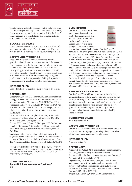

maintain many metabolic processes in the body. Reducing insulin levels permits fatty acid oxidation to occur. Fourth, they restore appropriate leptin signaling. Fifth, the Bios 7 family reduces triglyceride levels allowing for leptin to cross the blood-brain barrier $1$ 

# SUGGESTED USAGE

Dissolve the contents of one packet into 8 to 10fl. oz. of water and mix vigorously. Drink immediately. For best results, use 10-15 minutes before your two largest meals.

# SAFETY AND WARNINGS

Bios 7 family is well tolerated. There may be mild gastrointestinal discomfort, such as increased flatulence or loose stools, during the first month of initial use due to the increased uptake of dietary fiber. This GI disturbance usually disappears within the first thirty days. If the GI discomfort persists, reduce the number of servings of Bios 7. If the GI discomfort further persists, stop taking the product and consult your physician. Taking this product without adequate liquid can result in complications.

# HOW SUPPLIED

Bios 7 family is packaged in single-serving foil packets.

# REFERENCES

Sprecher DL, Pearce GL. Fiber-multivitamin combination therapy: A beneficial influence on low-density lipoprotein and homocysteine. Metabolism. 2002;51(9):1166-1170. Verdegem, PJE; Freed, S and Joffe D. American Diabetes Association 65th Scientific Sessions, San Diego, CA. 2005. Slavin, JL. Dietary fiber and body weight. Nutrition. 2005;21(3):411-418.

Delzenne NM, Cani PD. A place for dietary fibre in the management of the metabolic syndrome. Curr Opin Clin Nutr Metab Care. 2005;8(6):636-640

Duenas V, Duenas J, Burke E, Verdegem PJE. 7th International Conference on Arteriosclerosis, Thrombosis, and Vascular Biology, American Heart Association, Denver, CO. 2006.

Verdegem, PJE. Viscous soluble fiber combined with phytosterols and policosanol reduces LDL-cholesterol and increases HDL-cholesterol in hypercholesterolemia. Curr Top Nutraceutical Res. 2007;5(1):1-6 US Patent 6,933,291.

<sup>1</sup> THESE STATEMENTS HAVE NOT BEEN EVALUATED BY THE FOOD AND DRUG ADMINISTRATION. THIS PRODUCT IS NOT INTENDED TO DIAGNOSE, TREAT, CURE, OR PREVENT ANY DISEASE.

#### CARDIO-BASICS™ Essential Cardiovascular Nurients1 **DS**

# **DESCRIPTION**

Cardio-Basics™ is a nutritional supplement that combines multivitamins, minerals, and antioxidants to support the cardiovascular system. Cardio-Basics™ is a light orange, water-soluble powder



pressed into tablets. Each tablet of Cardio-Basics™ contains the following vitamins, minerals, amino acids, and antioxidants: beta-carotene (vitamin A), thiamine (vitamin B1), riboflavin (vitamin B2), niacin (vitamin B3), calcium d-pantothenate (vitamin B5), pyridoxine hydrochloride (vitamin B6), folate (vitamin B9), cyanocobalamin (vitamin B12), ascorbic acid and ascorbyl palmitate (vitamin C), cholecalciferol (vitamin D), d-alpha-tocopherol (vitamin E), biotin, calcium, chromium, copper, magnesium, manganese, molybdenum, phosphorus, potassium, selenium, sodium, zinc, L-arginine, L-carnitine, L-cysteine, L-lysine, L-proline, inositol, coenzyme Q10, and maritime pine extract. In addition to those active ingredients, each tablet also contains cellulose, croscarmellose sodium, stearic acid, silicon dioxide, and magnesium stearate.<sup>1</sup>

# BENEFITS AND RESEARCH

Cardio-Basics™ provides the vitamins, minerals, and antioxidants needed for a healthy heart. In clinical studies, participants using Cardio-Basics™ and Bio-C™ saw a significant reduction in arterial wall thickness and removal of calcification deposits when compared to the placebo group. Cardio-Basics™ provides the body with the necessary vitamins and minerals to support a healthy vascular system.<sup>1</sup>

# SUGGESTED USAGE

Take two tablets daily.

# SAFETY AND WARNINGS

Cardio-Basics™ is well tolerated. Contains chromium and niacin. Do not use if pregnant, nursing, diabetic, or when taking other niacin-containing supplements.

# HOW SUPPLIED

Available in tablets.

# REFERENCES

Niedzwiekcki A, Rath M. Nutritional supplement program halts progression of early coronary atherosclerosis documented by ultrafast computed tomography. Journal of Applied Nutrition. 1996;48:67-78.

Jeejeebhoy F, Keith M, Freeman M, et al. Nutritional supplementation with MyoVive repletes essential cardiac myocyte nutrients and reduces left ventricular size in patients with left ventricular dysfunction. American Heart Journal. 2002;143(6):1092-1100.

erdgem PJE, Lonky S, Curley S. 7th Conference on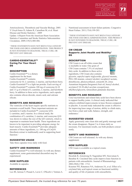

Arteriosclerosis, Thrombosis and Vascular Biology. 2005. V Lloyd-Jones D, Adams R, Carnethon M, et al. Heart Disease and Stroke Statistics—2009

Update: A Report From the American Heart Association Statistics Committee and Stroke Statistics Subcommittee Circulation. 2009;119(3):480-486.

1 THESE STATEMENTS HAVE NOT BEEN EVALUATED BY THE FOOD AND DRUG ADMINISTRATION. THIS PRODUCT IS NOT INTENDED TO DIAGNOSE, TREAT, CURE, OR PREVENT ANY DISEASE.

# CARDIO-ESSENTIALS™ Caring For Your Heart DS



**DESCRIPTION** 

Cardio-Essentials™ is a dietary supplement for the heart. Cardio-Essentials™ contains

coenzyme Q-10, L-carnitine, L-taurine, and hawthorn berry. Cardio-Essentials™ is a light tan powder. Each serving of Cardio-Essentials™ contains 100 mg of coenzyme Q-10 and 3.5 g of a blend of L-carnitine, L-taurine, and hawthorn berry. In addition to these active ingredients, each capsule also contains silicon dioxide, stearic acid, and calcium silicate.

# BENEFITS AND RESEARCH

The ventricles of the heart require specific nutrients to maintain overall health. These important nutrients are included in Cardio-Essentials™: coenzyme Q10, L-carnitine, and L-taurine. In a clinical study, the combination of L-carnitine, L-taurine, and coenzyme Q10 was shown to reduce the size of the left ventricle, which is important to maintain heart health. These ingredients are known to be important in providing adequate energy for heart muscle. Cardio-Essentials™ provides adequate amounts of these ingredients, i.e. 100 mg of CoQ10. Hawthorn extract is traditionally used in supporting heart function<sup>1</sup>

# SUGGESTED USAGE

Take three capsules twice daily with food.

# SAFETY AND WARNINGS

Cardio-Essentials™ is well tolerated. As with any dietary supplement, some gastrointestinal discomfort may be experienced.

# HOW SUPPLIED

Available in capsules.

# REFERENCES

Lee JH, Jarreau T, Prasad A, Lavie C, O'Keefe J, Ventura A.

Nutritional assessment in heart failure patients. Congestive Heart Failure. 2011;17(4):199-203.

1 THESE STATEMENTS HAVE NOT BEEN EVALUATED BY THE FOOD AND DRUG ADMINISTRATION. THIS PRODUCT IS NOT INTENDED TO DIAGNOSE, TREAT, CURE, OR PREVENT ANY DISEASE.

# CM CREAM Supports Joint Health and Mobility<sup>1</sup> **DS**

# **DESCRIPTION**

CM Cream is an off-white cream that is insoluble in water. One gram of CM Cream contains 7.5% of cetylated fatty acids. In addition to these active ingredients, CM Cream also contains



glycerin, caprylic/capric triglyceride, glyceryl stearate, PEG-100 stearate, cetearyl alcohol, tocopheryl acetate, dimethicone, phenoxyethanol, ceteareth-20, citrus Aurantium bergamia (bergamot) fruit oil, benzyl alcohol, acrylates/C10-30 alkyl acrylate crosspolymer, ethylhexylglycerin, tetrasodium glutamate diacetate.

# BENEFITS AND RESEARCH

Cetyl myristoleate and related fatty acids have been shown to support healthy joints. A clinical study indicated that subjects exhibited improvements in knee flexion compared to placebo. A second study indicated the cream is effective for improving knee range of motion, ability to climb stairs, rise from a chair and walk, balance, strength, and endurance.<sup>1</sup>

# SUGGESTED USAGE

Apply generously onto clean skin and gently massage until the cream disappears. Repeat 3 to 4 times daily as necessary. For maximum results, use both products concurrently.

# SAFETY AND WARNINGS

CM Cream are well tolerated. As with any dietary supplement.

# HOW SUPPLIED

CM Cream is available as a topical cream.

# REFERENCES

Hesslink R, Armstrong D, Nagendran MV, Sreevatsan S, Barathur R. Cetylated fatty acids improve knee function in patients with osteoarthritis. Journal of Rheumatology. 2002;29(8):1708– 1712.

Kraemer WJ, Ratamess NA, Anderson JA, et al. Effect of a cetylated fatty acid topical cream on functional mobility and quality of life of patients with osteoarthritis.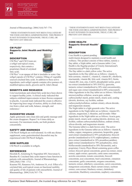

Journal of Rheumatology. 2004;31(4):767–774.

<sup>1</sup> THESE STATEMENTS HAVE NOT BEEN EVALUATED BY THE FOOD AND DRUG ADMINISTRATION. THIS PRODUCT IS NOT INTENDED TO DIAGNOSE, TREAT, CURE, OR PREVENT ANY DISEASE.

# CM PLEX®

# Supports Joint Health and Mobility1 DS

# **DESCRIPTION**

CM Plex® and CM Cream are a softgel and topical cream, respectively, that contain a proprietary blend of cetylated fatty acids.



CM Plex® is an opaque oil that is insoluble in water. One softgel capsule of CM Plex® contains 350mg of vegetable sourced cetylated fatty acids. In addition to these active ingredients, each softgel capsule contains olive pomace oil, modified tapioca starch, glycerin and St. John's Bread.

# BENEFITS AND RESEARCH

Cetyl myristoleate and related fatty acids have been shown to support healthy joints. A clinical study indicated that subjects exhibited improvements in knee flexion compared to placebo. A second study indicated the cream is effective for improving knee range of motion, ability to climb stairs, rise from a chair and walk, balance, strength, and endurance.<sup>1</sup>

# SUGGESTED USAGE

Apply generously onto clean skin and gently massage until the cream disappears. Repeat 3 to 4 times daily as necessary. For maximum results, use both products concurrently.

# SAFETY AND WARNINGS

CM Plex® Softgels are well tolerated. As with any dietary supplement, some gastrointestinal discomfort may be experienced with CM Plex® Softgels.

# HOW SUPPLIED

CM Plex® is available in softgels.

# REFERENCES

Hesslink R, Armstrong D, Nagendran MV, Sreevatsan S, Barathur R. Cetylated fatty acids improve knee function in patients with osteoarthritis. Journal of Rheumatology. 2002;29(8):1708– 1712.

Kraemer WJ, Ratamess NA, Anderson JA, et al. Effect of a cetylated fatty acid topical cream on functional mobility and quality of life of patients with osteoarthritis. Journal of Rheumatology. 2004;31(4):767–774.

<sup>1</sup> THESE STATEMENTS HAVE NOT BEEN EVALUATED BY THE FOOD AND DRUG ADMINISTRATION. THIS PRODUCT IS NOT INTENDED TO DIAGNOSE, TREAT, CURE, OR PREVENT ANY DISEASE.

#### CORE HEALTH Supports Overall Health<sup>1</sup> DS

#### DESCRIPTION

Core Health is a patent-pending

multivitamin designed to maintain overall health and wellness. This product consists of three tablets, namely a Day tablet, a Night tablet, and a Genome tablet. Core Health is the flagship product of Unicity International's Genomeceutical™ line of products.

The Day tablet is a dark yellow color. The active ingredients in the Day tablet are as follows: vitamin A, beta-carotene, vitamin C, vitamin E, vitamin B1, riboflavin, niacinamide, vitamin B6, folic acid, vitamin B12, biotin, vitamin B5, iron, zinc, CoQ10, phosphatidyl serine, green tea extract (standardized to 38% EGCG), quercetin, turmeric extract (standardized to 20% total curcuminoids), and sugar cane extract (standardized to 60% octacosanol). Other ingredients in the Day tablet are as follows: Silicified microcrystalline cellulose, acacia gum, sodium carboxymethyl starch, potato starch, stearic acid, coating (dextrin, dextrose, soy lecithin, sodium carboxymethylcellulose, sodium citrate), silicon dioxide, and magnesium stearate.

The Night tablet is a light greenish color. The active ingredients in the Night tablet are as follows: vitamin D3, calcium, magnesium, L-theanine, and lavender. Other ingredients in the Night tablet are as follows: Acacia gum, potato starch, stearic acid, coating (dextrin, dextrose, soy lecithin, sodium carboxymethylcellulose, sodium citrate), silicon dioxide, and magnesium stearate.

The Genome tablet is a dark brown color. The active ingredients in the Genome tablet are as follows: vitamin K, iodine, copper, manganese, potassium, hesperidin, grape seed extract (standardized to 95% polyphenols), broccoli powder (standardized to 0.5% sulphoraphane), cranberry juice extract (standardized to 10% proanthocyanidins), apple extract (standardized to 70% polyphenols), citrus bioflavonoids (standardized to 50% flavanoids), and a proprietary Unicity Phyto Blend containing green coffee extract, broccoli sprout concentrate, green tea extract, onion extract, apple extract, quercetin, camu camu concentrate, acerola concentrate, tomato concentrate, broccoli concentrate, acai concentrate, basil concentrate, cinnamon concentrate, garlic concentrate, oregano concentrate, turmeric extract, elderberry concentrate, carrot concentrate, mangosteen concentrate, black currant extract, soybean extract, corn extract, blueberry extract, chokeberry concentrate, blackberry concentrate, raspberry concentrate,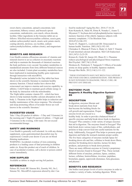

sweet cherry concentrate, spinach concentrate, kale concentrate, bilberry extract, and brussels sprout concentrate, maltodextrin, corn starch, silicon dioxide, lecithin. Other ingredients in the Genome tablet are as follows: Silicified microcrystalline cellulose, acacia gum, sodium carboxymethyl starch, stearic acid, potato starch, coating (dextrin, dextrose, soy lecithin, sodium carboxymethylcellulose, sodium citrate), and magnesium stearate.

# BENEFITS AND RESEARCH

Core Health contains efficacious amounts of vitamins and minerals known to act as cofactors in enzymatic reactions and help to maintain the thousands of chemical reactions the body performs every second. Secondary metabolites in standardized amounts from forty different botanical sources are also included. Certain plant secondary metabolites have been implicated in maintaining healthy gene expression through interaction with microRNA.

Phosphatidyl serine included in the Day tablet has been shown in the scientific literature to maintain healthy memory function. Clinical studies have shown that octacosanol can improve stamina and exercise capability in athletes. CoQ10 helps to maintain good cellular energy in the body by interaction with the mitochondria. The Night tablet contains vitamin D3—which has been shown to help maintain healthy calcium absorption in the body. L-Theanine in the Night tablet helps in reduction and healthy maintenance of the stress response. The relaxation and sleep promoting effects of lavender flower are well known in the scientific literature.<sup>1</sup>

# SUGGESTED USAGE

Take 1 Day (D) packet (6 tablets—3 Day and 3 Genome) in the morning and 1 Night (N) packet (6 tablets—3 Night and 3 Genome) in the evening, with water. Do not exceed recommended dosage.

#### SAFETY AND WARNINGS

Core Health is generally well tolerated. As with any dietary supplement, some gastrointestinal discomfort may be experienced. Consult your doctor if you are on blood thinning medications.

WARNING: Accidental overdose of iron-containing products is a leading cause of fatal poisoning in children under six. Keep this product out of reach of children. In case of accidental overdose, call a doctor or poison control center immediately.

#### HOW SUPPLIED

Available as tablets in single-serving foil packets.

#### REFERENCES

Palmer JD, Soule BP, Simone BA, Zaorsky NG, Jin J, Simone NL. MicroRNA expression altered by diet: Can

food be medicinal? Aging Res Rev. 2014;17:16-24. Kato-Kataoka K, Sakai M, Ebina R, Nonaka C, Asano T, Miyamori T: Soybean-derived phosphatidylserine improves memory function of the elderly Japanese subjects with memory complaints. J Clin Biochem Nutr. 2010;47(3):246-255.

Taylor JC, Rapport L, Lockwood GB. Octacosanol in human health. Nutrition. 2003;19(2):192-195. Christakos S, Dhawan P, Porta A, Mady LJ, Seth T. Vitamin

D and intestinal calcium absorption. Mol Cell Endocrinol. 2011;347(1-2):25-29.

Kimura K, Ozeki M, Juneja LR, Ohara H: L-Theanine reduces psychological and physiological Stress responses. Biol Psychol. 2007;74(1):39-45.

Hirokawa K, Nishimoto T, Taniguchi T. Effects of lavender aroma on sleep quality in healthy Japanese students. Percept Mot Skills. 2012;114(1):111-122.

1 THESE STATEMENTS HAVE NOT BEEN EVALUATED BY THE FOOD AND DRUG ADMINISTRATION. THIS PRODUCT IS NOT INTENDED TO DIAGNOSE, TREAT, CURE, OR PREVENT ANY DISEASE.

#### ENZYGEN® PLUS Supports A Healthy Digestive System1 **DS**

#### **DESCRIPTION**

In digestion, enzymes liberate and break down nutrients from food that become the building blocks for cell growth and regeneration. Proper enzyme levels are crucial to a



healthy body. In order to provide a balanced blend of specific enzymes and help break down foods in digestion, Enzygen® Plus contains a wide variety of unique enzymes that aid in digestion. The enzymes found in Enzygen® Plus help break down various types of fats, carbohydrates, and proteins to help convert food into useful nutrients for the body. Additionally, Enzygen® Plus helps to promote proper digestion and helps the stomach maintain proper acidity. The five basic categories of enzymes include lipase for breaking down oils and fats, cellulase to break down fibers, amylase for breaking down starches, lactase for dairy products, and protease to break down proteins. There are many different enzymes in Unicity's proprietary blend of enzymes found in Enzygen® Plus. These include different forms of amylase, protease, lipase, catalase, lactase, cellulase, hemicellulase, invertase, peptidase, bromelain, papain, superoxide dismutase, beta-glucanase, and phytase.<sup>1</sup>

#### BENEFITS AND RESEARCH

Our bodies need proper levels of active enzymes in order to conduct a variety of tasks, including digestion. While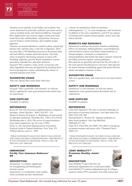

enzymes occur naturally in our bodies and in plants, they can be destroyed by pesticides, pollution, processes used to cook or irradiate foods, and chemical additives. Enzygen® Plus supplements your enzyme supply to help your body break down fats, carbohydrates, and proteins. Enzymes convert foods to useful nutrients, and complete proper digestion.

Enzymes are natural substances created in plant, animal and human cells, and they play a vital role in digestion. There are more than 2,700 identified enzymes in the human body, and each affects a unique chemical reaction. The body relies on properly functioning enzymes to assist with breathing, digestion, growth, blood coagulation, sensory perception, reproduction, and other functions. Enzygen® Plus contains a wide variety of enzymes and other ingredients that may aid digestion by breaking down food in the digestive system, stimulating the release of

# SUGGESTED USAGE

essential nutrients from food.<sup>1</sup>

Take one capsule three times daily with food.

# SAFETY AND WARNINGS

Enzygen® Plus is generally well tolerated. As with any dietary supplement, some gastrointestinal discomfort may be experienced.

# HOW SUPPLIED

Available in capsules.

# REFERENCES

Roxas M. The role of enzyme supplementation in digestive disorders. Altern Med Rev. 2008;13(4):307- 314. Shastri D, Kumar M, Kumar A. Modulation of lead toxicity by Spirulina fusiformis. Phytother Res. 1999;13(3):258-60. DerMarderosian A. (Ed.) The review of natural products. Facts and Comparisons, lnc, St Louis (1999). Peirce A. The American Pharmaceutical Association Practical Guide to Natural Medicines. New York, NY. William Morrow and Co., 1999.

<sup>1</sup> THESE STATEMENTS HAVE NOT BEEN EVALUATED BY THE FOOD AND DRUG ADMINISTRATION. THIS PRODUCT IS NOT INTENDED TO DIAGNOSE, TREAT, CURE, OR PREVENT ANY DISEASE.

#### **IMMUNIZEN®** Fortify Your Immunue Defences<sup>1</sup> DS

# **DESCRIPTION**

Immunizen® is a dietary supplement for strengthening and fortifying the immune system. Immunizen® is a moderately water-soluble, white crystalline powder. Immunizen®



consists of a proprietary blend of colostrum, arabinogalactan, 1,3, 1,6 yeast betaglucans, and lactoferrin. In addition to the active ingredients, each 835 mg capsule of Immunizen® contains natural gelatin, stearic acid, and silicon dioxide.<sup>1</sup>

# BENEFITS AND RESEARCH

Immunizen® combines the positive immune modulating effects of colostrum, arabinogalactans, yeast betaglucans, and lactoferrin to boost your body's natural defenses to foreign antigens. Colostrum is composed of immunoglobulins that bolster the body's immune system by providing immunity against various pathogens. Beta-glucans are generally derived from the cell walls of the yeast species Saccharomyces cerevisiae. Beta-glucans are potent immuno-modulating agents that prime both the innate and adaptive immune systems.<sup>1</sup>

#### SUGGESTED USAGE

Take two capsules daily with water one to two hours before a meal.

# SAFETY AND WARNINGS

Immunizen® is well tolerated. As with any dietary supplement, some gastrointestinal discomfort may be experienced.

# HOW SUPPLIED

Available in capsules.

# REFERENCES

Lilius EM, Marnila P. The role of colostral antibodies in prevention of microbial infections. Curr Opin Infect Dis. 2001;14(3):295-300.

Hammarström L, Weiner CK. Targeted antibodies in dairy-based products. Adv Exp Med Biol. 2008;606:321-343.

Chan GCF, Chan WK, Sze DMY. The effects of β-glucan on human immune and cancer cells. J Hematol Oncol. 2009;2:25.

<sup>1</sup> THESE STATEMENTS HAVE NOT BEEN EVALUATED BY THE FOOD AND DRUG ADMINISTRATION. THIS PRODUCT IS NOT INTENDED TO DIAGNOSE, TREAT, CURE, OR PREVENT ANY DISEASE.

# JOINT MOBILITY™ **Promotes Healthy Joints<sup>1</sup>** DS

# **DESCRIPTION**

Joint Mobility™ and Colla Flex are

nutritional supplements for overall joint health. Joint Mobility™ contains undenatured type II collagen, turmeric extract (95% curcumin), boswellia extract and

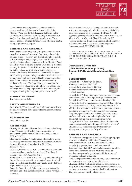

vitamin D3 as active ingredients, and also includes microcrystalline cellulose and silicon dioxide. Joint Mobility™ is a powder filled capsule that takes on the yellow color of turmeric. Joint Mobility is delivered in a smaller dose than traditional joint supplements. These smaller capsules are ideal for individuals who have trouble taking large capsules or pills.

# BENEFITS AND RESEARCH

Many people suffer daily from joint pain and discomfort caused from years of overuse or from being obese. Joint pain and a loss of mobility can dramatically affect quality of life, making simple, everyday activity difficult and painful. The ingredients contained in Joint Mobility™ and Colla Flex work in several different ways to help maintain overall joint health. Turmeric (curcumin) and boswellia extract have been shown to downregulate the genes involved in chronic inflammation. Vitamin D3 has been shown to help increase collagen production which is needed to maintain overall joint health. Black pepper extract has been shown to block the expression of inflammatory markers in the body. The ingredients contained in these supplements have been shown to inhibit pro-inflammatory pathways and also help to prevent the breakdown of joint collagen, allowing the body to repair and heal itself.<sup>1</sup>

# SUGGESTED USAGE

Take two capsules daily.

# SAFETY AND WARNINGS

Joint Mobility™ are generally well tolerated. As with any dietary supplement, some gastrointestinal discomfort may be experienced.

# HOW SUPPLIED

Available in capsules.

# REFERENCES

Crowley DC, Lau FC, Sharma P, et al. Safety and efficacy of undenatured type II collagen in the treatment of osteoarthritis of the knee: a clinical trial. Int J Med Sci 2009, 6:312-321.

Chandran B, Goel A. A randomized, pilot study to assess the efficacy and safety of curcumin in patients with active rheumatoid arthritis. Phytother Res. 2012 Nov; 26(11):1719-25.

Dobak J1, Grzybowski J, et al. 1,25-Dihydroxyvitamin D3 increases collagen production in dermal fibroblasts. J Dermatol Sci. 1994 Aug;8(1):18-24.

Kimmatkar N, Thawani V, et al. Efficacy and tolerability of Boswellia serrate extract in treatment of osteoarthritis of knee—a randomized double bling placebo controlled trial. Phytomedicine 2003 Jan; 10(1):3-7.

Reuter S, Gupta S, et al. Epigenetic changes induced by curcumin and other natural compounds. Genes Nutr (2011) 6:93–108.

Takada Y, Ichikawa H, et al. Acetyl-11-Keto-β-Boswellic acid potentiates apoptosis, inhibits invasion, and abolishes osteoclastogenesis by suppressing NF-κΒ and NF- κΒregulated gene expression. J Immunol 2006;176:3127-3140. Ying X, Chen X, Cheng S, Shen Y, Peng L, Xu HZ. Piperine inhibits IL-β induced expression of inflammatory mediators in human osteoarthritis chondrocyte. Int Imunopharmacol. 2013;17(2):293-299.

<sup>1</sup> THESE STATEMENTS HAVE NOT BEEN EVALUATED BY THE FOOD AND DRUG ADMINISTRATION. THIS PRODUCT IS NOT INTENDED TO DIAGNOSE, TREAT, CURE, OR PREVENT ANY DISEASE.

# OMEGALIFE-3™ Resolv (Also known as OmegaLife-3) Omega-3 Fatty Acid Supplementation **DS**

# DESCRIPTION

OmegaLife-3™ Resolv (Also known as OmegaLife-3) are a blend of omega-3 fatty acids designed to help maintain healthy cardiovascular and cerebral function.



OmegaLife-3™ Resolv is a patent pending, semi-opaque, semi-viscous, fat-soluble liquid softgel. Each serving of OmegaLife-3™ Resolv contains the following active ingredients: 1000 mg eicosapentaenoic acid (EPA), 500 mg docosahexaenoic acid (DHA), and 120mg vitamin E. In addition, it also contains the inactive ingredients; beeswax, Gaultheria procumbens (wintergreen oil), soy lecithin, l-arginine, special antioxidants blend (rosemary extract, sunflower oil, mixed natural tocopherols, L-ascorbyl palmitate), fish gelatin, glycerin, purified water. OmegaLife-3™ Resolv has been molecularly distilled to ensure exceptionally pure oil to provide higher levels of EPA and DHA; in addition this product includes wintergreen oil to prevent a fishy aftertaste.<sup>1</sup>

# BENEFITS AND RESEARCH

Clinical research suggests fish oil can help support proper brain and eye health. In 2002 the FDA approved supplementation of DHA in infant formula. DHA is potentially important in fetal and infant neural development, in that DHA and arachidonic acid have been shown to be incorporated into brain and retinal cell membranes—particularly during the third trimester of pregnancy and early infant life.

DHA is the predominant structural fatty acid in the central nervous system and in the retina of the eyes. EPA supports the synthesis of important compounds in the body. EPA is the precursor of thromboxane and leukotriene, compounds involved in supporting healthy circulation. They also promote healthy blood vessels.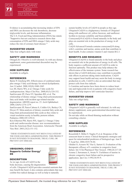

Evidence is accumulating that increasing intakes of EPA and DHA can decrease the risk thrombosis, decrease triglyceride levels, and decrease inflammation. The U.S. Food and Drug Administration (FDA) has stated, "Supportive but not conclusive research shows that consumption of EPA and DHA omega-3 fatty acids may reduce the risk of coronary heart disease."1

# SUGGESTED USAGE

Take four softgels daily with water.

# SAFETY AND WARNINGS

OmegaLife-3 Resolve is well tolerated. As with any dietary supplement, some gastrointestinal discomfort may be experienced.

# HOW SUPPLIED

Available in softgels.

# REFERENCES

Barter P, Ginsberg HN. Effectiveness of combined statin plus omega-3 fatty acid therapy for mixed dyslipidemia. Am J Cardiol. 2008;102(8):1040-1045 Lee JH, Harris WS, et al. Omega-3 fatty acids for cardioprotection. Mayo Clin Proc. 2008;83(3):324-332. SanGiovanni JP, Chew EY, Sperduto RD, et al. The relationship of dietary omega-3 long-chain polyunsaturated fatty acid intake with incident age-related macular degeneration: AREDS report no. 23. Arch Ophthalmol. 2008;126(9):1274-1279.

SanGiovanni JP, Parra-Cabrera S, Colditz GA, Berkey CS, Dwyer JT. Meta-analysis of dietary essential fatty acids and long-chain polyunsaturated fatty acids as they relate to visual resolution acuity in healthy preterm infants. Pediatrics 2000;105:1292-8.

Kris-Etherton PM, Harris WS, Appel LJ. Omega-3 fatty acids and cardiovascular disease: new recommendations from the American Heart Association. Arterioscler Thromb Vasc Biol. 2003;23(2):151-152.

1 THESE STATEMENTS HAVE NOT BEEN EVALUATED BY THE FOOD AND DRUG ADMINISTRATION. THIS PRODUCT IS NOT INTENDED TO DIAGNOSE, TREAT, CURE, OR PREVENT ANY DISEASE.

#### UBIQUINOL-COQ10 Supports Cellular Energy1 **DS**

# **DESCRIPTION**



As we age, levels of CoQ10 in the body decrease, causing the degeneration

of cells. Ubiquinol-CoQ10 provides essential nutrients that may benefit the heart; it also contains antioxidants that may combat free-radical damage as well as help to naturally

sustain healthy levels of CoQ10 in people as they age. Ubiquinol-CoQ10 is a highpotency formula of Ubiquinol along with sunflower oil, yellow beeswax, and sunflower lecithin to increase solubility and bioavailability. CoenzymeQ10 (CoQ10) is found naturally in the body and plays an essential role in the production of energy in all cells.

CoQ10 Advanced Formula contains coenzymeQ10 along with L-carnitine and taurine, amino acids that contribute to heart health. It also contains vitamin E and vitamin B12.1

# BENEFITS AND RESEARCH

Ubiquinol (CoQ10) is found naturally in the body and plays an essential role in the production of energy in all cells. The body requires a sufficient amount of CoQ10 in order to function optimally. This product may help enhance the effectiveness of the immune system. Some research has shown that a CoQ10 deficiency may contribute to possible side effects in persons taking statin medications. CoQ10 may support heart health and may assist the body in energy production in cells. CoQ10 is also an antioxidant that may protect cells from free radicals.

L-Carnitine and taurine have been shown to reduce heart rate and triglyceride levels in patients with congestive heart failure, and help improve left ventricular function.<sup>1</sup>

# SUGGESTED USAGE

Take one softgel daily.

# SAFETY AND WARNINGS

Ubiquinol-CoQ10 is generally well tolerated. As with any dietary supplement, some gastrointestinal discomfort may be experienced.

Do not take while on blood thinning medication without consulting a doctor.

# HOW SUPPLIED

Available in softgels.

# REFERENCES

Rosenfeldt F, Miller F, Nagley P, et al. Response of the senescent heart to stress: Clinical therapeutic strategies and quest for mitochondrial predictors of biological age. Ann N Y Acad Sci. 2004;1019:78-84.

Ghidini O, Azzurro M, Vita G, Sartori G. Evaluation of the therapeutic efficacy of L-carnitine in congestive heart failure. Int J Clin Pharmacol Ther Toxicol. 1988;26:217-20. Azuma J, Sawamura A, Awata N. Usefulness of taurine in chronic congestive heart failure and its prospective application. Jpn Circ J 1992;56:95-9.

<sup>1</sup> THESE STATEMENTS HAVE NOT BEEN EVALUATED BY THE FOOD AND DRUG ADMINISTRATION. THIS PRODUCT IS NOT INTENDED TO DIAGNOSE, TREAT, CURE, OR PREVENT ANY DISEASE.